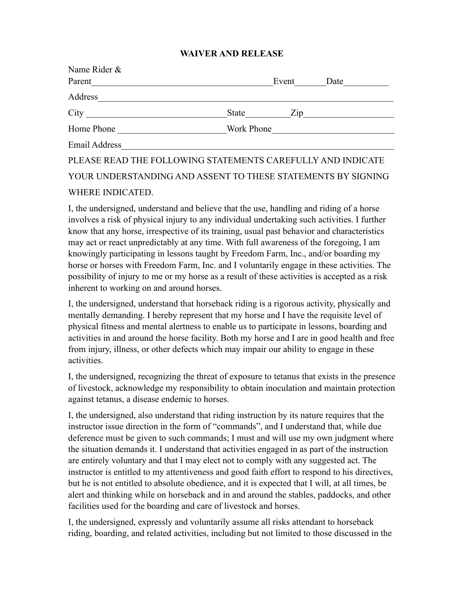## **WAIVER AND RELEASE**

| Name Rider &  |                                                              |
|---------------|--------------------------------------------------------------|
| Parent        | Event<br>Date                                                |
| Address       |                                                              |
| City          | State<br>Zip                                                 |
| Home Phone    | Work Phone                                                   |
| Email Address |                                                              |
|               | PLEASE READ THE FOLLOWING STATEMENTS CAREFULLY AND INDICATE  |
|               | YOUR UNDERSTANDING AND ASSENT TO THESE STATEMENTS BY SIGNING |
|               |                                                              |

## WHERE INDICATED.

I, the undersigned, understand and believe that the use, handling and riding of a horse involves a risk of physical injury to any individual undertaking such activities. I further know that any horse, irrespective of its training, usual past behavior and characteristics may act or react unpredictably at any time. With full awareness of the foregoing, I am knowingly participating in lessons taught by Freedom Farm, Inc., and/or boarding my horse or horses with Freedom Farm, Inc. and I voluntarily engage in these activities. The possibility of injury to me or my horse as a result of these activities is accepted as a risk inherent to working on and around horses.

I, the undersigned, understand that horseback riding is a rigorous activity, physically and mentally demanding. I hereby represent that my horse and I have the requisite level of physical fitness and mental alertness to enable us to participate in lessons, boarding and activities in and around the horse facility. Both my horse and I are in good health and free from injury, illness, or other defects which may impair our ability to engage in these activities.

I, the undersigned, recognizing the threat of exposure to tetanus that exists in the presence of livestock, acknowledge my responsibility to obtain inoculation and maintain protection against tetanus, a disease endemic to horses.

I, the undersigned, also understand that riding instruction by its nature requires that the instructor issue direction in the form of "commands", and I understand that, while due deference must be given to such commands; I must and will use my own judgment where the situation demands it. I understand that activities engaged in as part of the instruction are entirely voluntary and that I may elect not to comply with any suggested act. The instructor is entitled to my attentiveness and good faith effort to respond to his directives, but he is not entitled to absolute obedience, and it is expected that I will, at all times, be alert and thinking while on horseback and in and around the stables, paddocks, and other facilities used for the boarding and care of livestock and horses.

I, the undersigned, expressly and voluntarily assume all risks attendant to horseback riding, boarding, and related activities, including but not limited to those discussed in the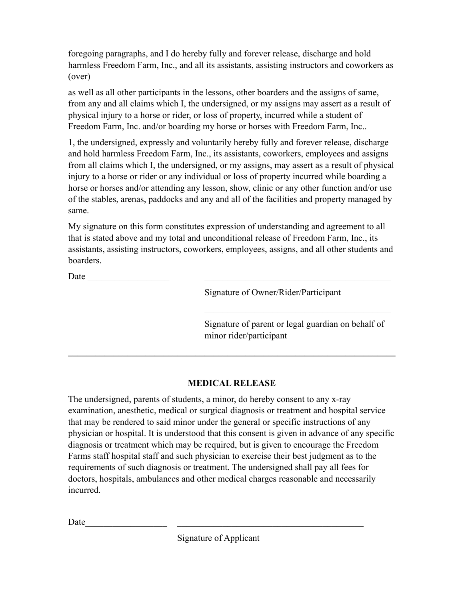foregoing paragraphs, and I do hereby fully and forever release, discharge and hold harmless Freedom Farm, Inc., and all its assistants, assisting instructors and coworkers as (over)

as well as all other participants in the lessons, other boarders and the assigns of same, from any and all claims which I, the undersigned, or my assigns may assert as a result of physical injury to a horse or rider, or loss of property, incurred while a student of Freedom Farm, Inc. and/or boarding my horse or horses with Freedom Farm, Inc..

1, the undersigned, expressly and voluntarily hereby fully and forever release, discharge and hold harmless Freedom Farm, Inc., its assistants, coworkers, employees and assigns from all claims which I, the undersigned, or my assigns, may assert as a result of physical injury to a horse or rider or any individual or loss of property incurred while boarding a horse or horses and/or attending any lesson, show, clinic or any other function and/or use of the stables, arenas, paddocks and any and all of the facilities and property managed by same.

My signature on this form constitutes expression of understanding and agreement to all that is stated above and my total and unconditional release of Freedom Farm, Inc., its assistants, assisting instructors, coworkers, employees, assigns, and all other students and boarders.

Date  $\Box$ 

Signature of Owner/Rider/Participant

Signature of parent or legal guardian on behalf of minor rider/participant

 $\mathcal{L}_\text{max}$ 

## **MEDICAL RELEASE**

 $\mathcal{L}_\mathcal{L} = \{ \mathcal{L}_\mathcal{L} = \{ \mathcal{L}_\mathcal{L} = \{ \mathcal{L}_\mathcal{L} = \{ \mathcal{L}_\mathcal{L} = \{ \mathcal{L}_\mathcal{L} = \{ \mathcal{L}_\mathcal{L} = \{ \mathcal{L}_\mathcal{L} = \{ \mathcal{L}_\mathcal{L} = \{ \mathcal{L}_\mathcal{L} = \{ \mathcal{L}_\mathcal{L} = \{ \mathcal{L}_\mathcal{L} = \{ \mathcal{L}_\mathcal{L} = \{ \mathcal{L}_\mathcal{L} = \{ \mathcal{L}_\mathcal{$ 

The undersigned, parents of students, a minor, do hereby consent to any x-ray examination, anesthetic, medical or surgical diagnosis or treatment and hospital service that may be rendered to said minor under the general or specific instructions of any physician or hospital. It is understood that this consent is given in advance of any specific diagnosis or treatment which may be required, but is given to encourage the Freedom Farms staff hospital staff and such physician to exercise their best judgment as to the requirements of such diagnosis or treatment. The undersigned shall pay all fees for doctors, hospitals, ambulances and other medical charges reasonable and necessarily incurred.

Date